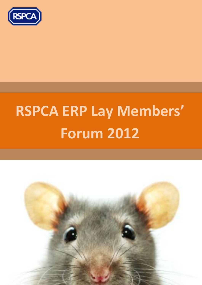

# **RSPCA ERP Lay Members' Forum 2012**

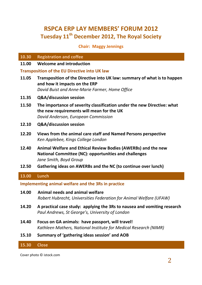# **RSPCA ERP LAY MEMBERS' FORUM 2012 Tuesday 11th December 2012, The Royal Society**

# **Chair: Maggy Jennings**

## **10.30 Registration and coffee**

### **11.00 Welcome and introduction**

## **Transposition of the EU Directive into UK law**

- **11.05 Transposition of the Directive into UK law: summary of what is to happen and how it impacts on the ERP** *David Buist and Anne-Marie Farmer, Home Office*
- **11.35 Q&A/discussion session**
- **11.50 The importance of severity classification under the new Directive: what the new requirements will mean for the UK** *David Anderson, European Commission*
- **12.10 Q&A/discussion session**
- **12.20 Views from the animal care staff and Named Persons perspective** *Ken Applebee, Kings College London*
- **12.40 Animal Welfare and Ethical Review Bodies (AWERBs) and the new National Committee (NC): opportunities and challenges** *Jane Smith, Boyd Group*
- **12.50 Gathering ideas on AWERBs and the NC (to continue over lunch)**

## **13.00 Lunch**

## **Implementing animal welfare and the 3Rs in practice**

- **14.00 Animal needs and animal welfare** *Robert Hubrecht, Universities Federation for Animal Welfare (UFAW)*
- **14.20 A practical case study: applying the 3Rs to nausea and vomiting research** *Paul Andrews, St George's, University of London*
- **14.40 Focus on GA animals: have passport, will travel!** *Kathleen Mathers, National Institute for Medical Research (NIMR)*
- **15.10 Summary of 'gathering ideas session' and AOB**

### **15.30 Close**

Cover photo © istock.com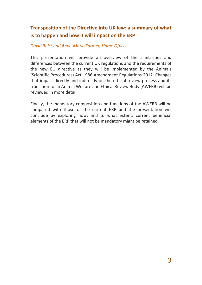# **Transposition of the Directive into UK law: a summary of what is to happen and how it will impact on the ERP**

# *David Buist and Anne-Marie Farmer, Home Office*

This presentation will provide an overview of the similarities and differences between the current UK regulations and the requirements of the new EU directive as they will be implemented by the Animals (Scientific Procedures) Act 1986 Amendment Regulations 2012. Changes that impact directly and indirectly on the ethical review process and its transition to an Animal Welfare and Ethical Review Body (AWERB) will be reviewed in more detail.

Finally, the mandatory composition and functions of the AWERB will be compared with those of the current ERP and the presentation will conclude by exploring how, and to what extent, current beneficial elements of the ERP that will not be mandatory might be retained.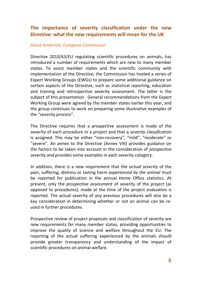# **The importance of severity classification under the new Directive: what the new requirements will mean for the UK**

## *David Anderson, European Commission*

Directive 2010/63/EU regulating scientific procedures on animals, has introduced a number of requirements which are new to many member states. To assist member states and the scientific community with implementation of the Directive, the Commission has hosted a series of Expert Working Groups (EWGs) to prepare some additional guidance on certain aspects of the Directive, such as statistical reporting, education and training and retrospective severity assessment. The latter is the subject of this presentation. General recommendations from the Expert Working Group were agreed by the member states earlier this year, and the group continues to work on preparing some illustrative examples of the "severity process".

The Directive requires that a *prospective* assessment is made of the severity of each procedure in a project and that a *severity classification* is assigned. This may be either "non-recovery", "mild", "moderate" or "severe". An annex to the Directive (Annex VIII) provides guidance on the factors to be taken into account in the consideration of *prospective* severity and provides some examples in each severity category.

In addition, there is a new requirement that the *actual severity* of the pain, suffering, distress or lasting harm *experienced by the animal* must be reported for publication in the annual Home Office statistics. At present, only the *prospective assessment* of severity of the *project* (as opposed to procedures), made at the time of the project evaluation is reported. The actual severity of any previous procedures will also be a key consideration in determining whether or not an animal can be *reused* in further procedures.

Prospective review of project proposals and classification of severity are new requirements for many member states, providing opportunities to improve the quality of science and welfare throughout the EU. The reporting of the actual suffering experienced by the animals should provide greater transparency and understanding of the impact of scientific procedures on animal welfare.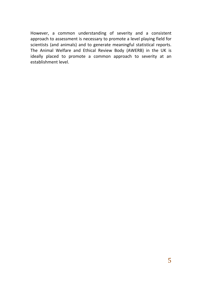However, a common understanding of severity and a consistent approach to assessment is necessary to promote a level playing field for scientists (and animals) and to generate meaningful statistical reports. The Animal Welfare and Ethical Review Body (AWERB) in the UK is ideally placed to promote a common approach to severity at an establishment level.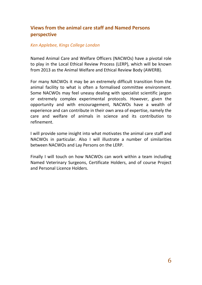# **Views from the animal care staff and Named Persons perspective**

## *Ken Applebee, Kings College London*

Named Animal Care and Welfare Officers (NACWOs) have a pivotal role to play in the Local Ethical Review Process (LERP), which will be known from 2013 as the Animal Welfare and Ethical Review Body (AWERB).

For many NACWOs it may be an extremely difficult transition from the animal facility to what is often a formalised committee environment. Some NACWOs may feel uneasy dealing with specialist scientific jargon or extremely complex experimental protocols. However, given the opportunity and with encouragement, NACWOs have a wealth of experience and can contribute in their own area of expertise, namely the care and welfare of animals in science and its contribution to refinement.

I will provide some insight into what motivates the animal care staff and NACWOs in particular. Also I will illustrate a number of similarities between NACWOs and Lay Persons on the LERP.

Finally I will touch on how NACWOs can work within a team including Named Veterinary Surgeons, Certificate Holders, and of course Project and Personal Licence Holders.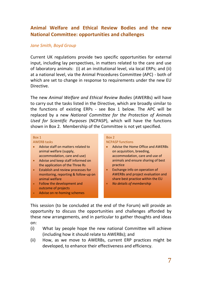# **Animal Welfare and Ethical Review Bodies and the new National Committee: opportunities and challenges**

## *Jane Smith, Boyd Group*

Current UK regulations provide two specific opportunities for external input, including lay perspectives, in matters related to the care and use of laboratory animals: (i) at an institutional level, via local ERPs; and (ii) at a national level, via the Animal Procedures Committee (APC) - both of which are set to change in response to requirements under the new EU Directive.

The new *Animal Welfare and Ethical Review Bodies* (AWERBs) will have to carry out the tasks listed in the Directive, which are broadly similar to the functions of existing ERPs - see Box 1 below. The APC will be replaced by a new *National Committee for the Protection of Animals Used for Scientific Purposes* (NCPASP), which will have the functions shown in Box 2. Membership of the Committee is not yet specified.

#### Box 1

#### AWERB tasks

- Advise staff on matters related to animal welfare (supply, accommodation, care and use)
- Advise and keep staff informed on the application of the Three Rs
- Establish and review processes for monitoring, reporting & follow-up on animal welfare
- **•** Follow the development and outcome of projects
- Advise on re-homing schemes

#### Box 2 NCPASP functions

- Advise the Home Office and AWERBs on acquisition, breeding, accommodation, care and use of animals and ensure sharing of best practice
- Exchange info on operation of AWERBs and project evaluation and share best practice within the EU
- *No details of membership*

This session (to be concluded at the end of the Forum) will provide an opportunity to discuss the opportunities and challenges afforded by these new arrangements, and in particular to gather thoughts and ideas on:

- (i) What lay people hope the new national Committee will achieve (including how it should relate to AWERBs); and
- (ii) How, as we move to AWERBs, current ERP practices might be developed, to enhance their effectiveness and efficiency.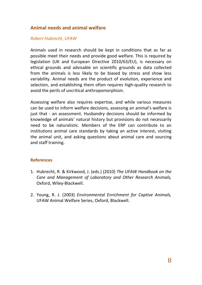# **Animal needs and animal welfare**

# *Robert Hubrecht, UFAW*

Animals used in research should be kept in conditions that as far as possible meet their needs and provide good welfare. This is required by legislation (UK and European Directive 2010/63/EU), is necessary on ethical grounds and advisable on scientific grounds as data collected from the animals is less likely to be biased by stress and show less variability. Animal needs are the product of evolution, experience and selection, and establishing them often requires high-quality research to avoid the perils of uncritical anthropomorphism.

Assessing welfare also requires expertise, and while various measures can be used to inform welfare decisions, assessing an animal's welfare is just that - an assessment. Husbandry decisions should be informed by knowledge of animals' natural history but provisions do not necessarily need to be naturalistic. Members of the ERP can contribute to an institutions animal care standards by taking an active interest, visiting the animal unit, and asking questions about animal care and sourcing and staff training.

# **References**

- 1. Hubrecht, R. & Kirkwood, J. (eds.) (2010) *The UFAW Handbook on the Care and Management of Laboratory and Other Research Animals,*  Oxford, Wiley-Blackwell.
- 2. Young, R. J. (2003) *Environmental Enrichment for Captive Animals,*  UFAW Animal Welfare Series, Oxford, Blackwell.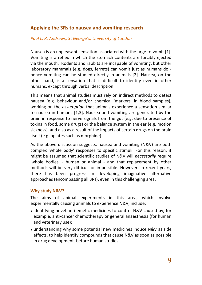# **Applying the 3Rs to nausea and vomiting research**

# *Paul L. R. Andrews, St George's, University of London*

Nausea is an unpleasant sensation associated with the urge to vomit [1]. Vomiting is a reflex in which the stomach contents are forcibly ejected via the mouth. Rodents and rabbits are incapable of vomiting, but other laboratory mammals (e.g. dogs, ferrets) can vomit just as humans do hence vomiting can be studied directly in animals [2]. Nausea, on the other hand, is a sensation that is difficult to identify even in other humans, except through verbal description.

This means that animal studies must rely on indirect methods to detect nausea (e.g. behaviour and/or chemical 'markers' in blood samples), working on the *assumption* that animals experience a sensation similar to nausea in humans [1,3]. Nausea and vomiting are generated by the brain in response to nerve signals from the gut (e.g. due to presence of toxins in food, some drugs) or the balance system in the ear (e.g. motion sickness), and also as a result of the impacts of certain drugs on the brain itself (e.g. opiates such as morphine).

As the above discussion suggests, nausea and vomiting (N&V) are both complex 'whole body' responses to specific stimuli. For this reason, it might be assumed that scientific studies of N&V will *necessarily* require 'whole bodies' - human or animal - and that replacement by other methods will be very difficult or impossible. However, in recent years, there has been progress in developing imaginative alternative approaches (encompassing all 3Rs), even in this challenging area.

# **Why study N&V?**

The aims of animal experiments in this area, which involve experimentally causing animals to experience N&V, include:

- identifying novel anti-emetic medicines to control N&V caused by, for example, anti-cancer chemotherapy or general anaesthesia (for human and veterinary use);
- understanding why some potential new medicines induce N&V as side effects, to help identify compounds that cause N&V as soon as possible in drug development*,* before human studies;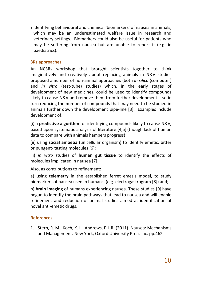identifying behavioural and chemical 'biomarkers' of nausea in animals, which may be an underestimated welfare issue in research and veterinary settings. Biomarkers could also be useful for patients who may be suffering from nausea but are unable to report it (e.g. in paediatrics).

# **3Rs approaches**

An NC3Rs workshop that brought scientists together to think imaginatively and creatively about replacing animals in N&V studies proposed a number of non-animal approaches (both *in silico* (computer) and *in vitro* (test-tube) studies) which, in the early stages of development of new medicines, could be used to identify compounds likely to cause N&V and remove them from further development – so in turn reducing the number of compounds that may need to be studied in animals further down the development pipe-line [3]. Examples include development of:

(i) a **predictive algorithm** for identifying compounds likely to cause N&V, based upon systematic analysis of literature [4,5] (though lack of human data to compare with animals hampers progress);

(ii) using **social amoeba** (unicellular organism) to identify emetic, bitter or pungent- tasting molecules [6];

iii) *in vitro* studies of **human gut tissue** to identify the effects of molecules implicated in nausea [7].

Also, as contributions to refinement:

a) using **telemetry** in the established ferret emesis model, to study biomarkers of nausea used in humans (e.g. electrogastrogram [8]) and;

b) **brain imaging** of humans experiencing nausea. These studies [9] have begun to identify the brain pathways that lead to nausea and will enable refinement and reduction of animal studies aimed at identification of novel anti-emetic drugs.

# **References**

1. Stern, R. M., Koch, K. L., Andrews, P.L.R. (2011). Nausea: Mechanisms and Management. New York, Oxford University Press Inc. pp.462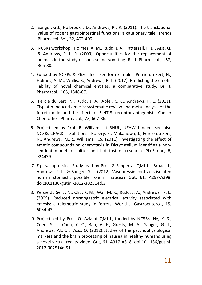- 2. Sanger, G.J., Holbrook, J.D., Andrews, P.L.R. (2011). The translational value of rodent gastrointestinal functions: a cautionary tale. Trends Pharmacol. Sci., 32, 402-409.
- 3. NC3Rs workshop. Holmes, A. M., Rudd, J. A., Tattersall, F. D., Aziz, Q. & Andrews, P. L. R. (2009). Opportunities for the replacement of animals in the study of nausea and vomiting. Br. J. Pharmacol., 157, 865-80.
- 4. Funded by NC3Rs & Pfizer Inc. See for example: Percie du Sert, N., Holmes, A. M., Wallis, R., Andrews, P. L. (2012). Predicting the emetic liability of novel chemical entities: a comparative study. Br. J. Pharmacol., 165, 1848-67.
- 5. Percie du Sert, N., Rudd, J. A., Apfel, C. C., Andrews, P. L. (2011). Cisplatin-induced emesis: systematic review and meta-analysis of the ferret model and the effects of 5-HT(3) receptor antagonists. Cancer Chemother. Pharmacol., 73, 667-86.
- 6. Project led by Prof. R. Williams at RHUL, UFAW funded; see also NC3Rs CRACK IT Solutions. Robery, S., Mukanowa, J., Percie du Sert, N., Andrews, P.L.R., Williams, R.S. (2011). Investigating the effect of emetic compounds on chemotaxis in Dictyostelium identifies a nonsentient model for bitter and hot tastant research. PLoS one, 6, e24439.
- 7. E.g. vasopressin. Study lead by Prof. G Sanger at QMUL. Broad, J., Andrews, P. L., & Sanger, G. J. (2012). Vasopressin contracts isolated human stomach: possible role in nausea? Gut, 61, A297-A298. doi:10.1136/gutjnl-2012-302514d.3
- 8. Percie du Sert , N., Chu, K. M., Wai, M. K., Rudd, J. A., Andrews, P. L. (2009). Reduced normogastric electrical activity associated with emesis: a telemetric study in ferrets. World J. Gastroenterol., 15, 6034-43.
- 9. Project led by Prof. Q. Aziz at QMUL, funded by NC3Rs. Ng, K. S., Coen, S. J., Chua, Y. C., Ban, V. F., Gresty, M. A., Sanger, G. J., Andrews, P.L.R, . Aziz, Q. (2012).Studies of the psychophysiological markers and the brain processing of nausea in healthy humans using a novel virtual reality video. Gut, 61, A317-A318. doi:10.1136/gutjnl-2012-302514d.51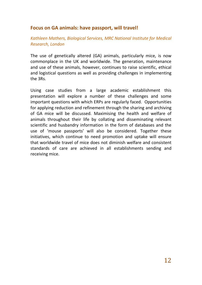# **Focus on GA animals: have passport, will travel!**

*Kathleen Mathers, Biological Services, MRC National Institute for Medical Research, London*

The use of genetically altered (GA) animals, particularly mice, is now commonplace in the UK and worldwide. The generation, maintenance and use of these animals, however, continues to raise scientific, ethical and logistical questions as well as providing challenges in implementing the 3Rs.

Using case studies from a large academic establishment this presentation will explore a number of these challenges and some important questions with which ERPs are regularly faced. Opportunities for applying reduction and refinement through the sharing and archiving of GA mice will be discussed. Maximising the health and welfare of animals throughout their life by collating and disseminating relevant scientific and husbandry information in the form of databases and the use of 'mouse passports' will also be considered. Together these initiatives, which continue to need promotion and uptake will ensure that worldwide travel of mice does not diminish welfare and consistent standards of care are achieved in all establishments sending and receiving mice.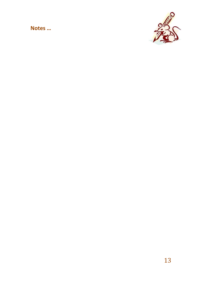**Notes …**

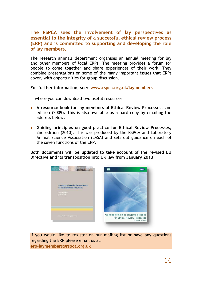**The RSPCA sees the involvement of lay perspectives as essential to the integrity of a successful ethical review process (ERP) and is committed to supporting and developing the role of lay members.**

The research animals department organises an annual meeting for lay and other members of local ERPs. The meeting provides a forum for people to come together and share experiences of their work. They combine presentations on some of the many important issues that ERPs cover, with opportunities for group discussion.

**For further information, see: www.rspca.org.uk/laymembers**

… where you can download two useful resources:

- **A resource book for lay members of Ethical Review Processes**, 2nd edition (2009). This is also available as a hard copy by emailing the address below.
- **Guiding principles on good practice for Ethical Review Processes**, 2nd edition (2010). This was produced by the RSPCA and Laboratory Animal Science Association (LASA) and sets out guidance on each of the seven functions of the ERP.

**Both documents will be updated to take account of the revised EU Directive and its transposition into UK law from January 2013.**



If you would like to register on our mailing list or have any questions regarding the ERP please email us at: **erp-laymembers@rspca.org.uk**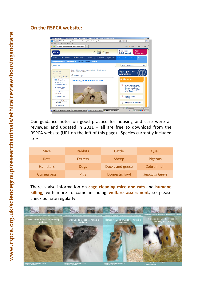# **On the RSPCA website:**



Our guidance notes on good practice for housing and care were all reviewed and updated in  $2011 -$  all are free to download from the RSPCA website (URL on the left of this page). Species currently included are:

| Mice            | <b>Rabbits</b> | Cattle          | Quail                 |
|-----------------|----------------|-----------------|-----------------------|
| <b>Rats</b>     | <b>Ferrets</b> | Sheep           | Pigeons               |
| <b>Hamsters</b> | <b>Dogs</b>    | Ducks and geese | Zebra finch           |
| Guinea pigs     | <b>Pigs</b>    | Domestic fowl   | <b>Xenopus laevis</b> |

There is also information on **cage cleaning mice and rats** and **humane killing**, with more to come including **welfare assessment**, so please check our site regularly.